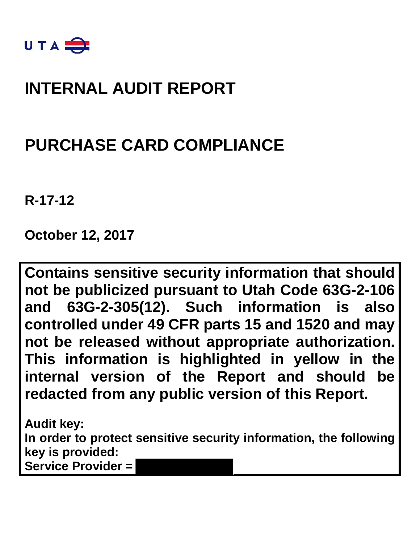

## **INTERNAL AUDIT REPORT**

## **PURCHASE CARD COMPLIANCE**

**R-17-12** 

**October 12, 2017**

**Contains sensitive security information that should not be publicized pursuant to Utah Code 63G-2-106 and 63G-2-305(12). Such information is also controlled under 49 CFR parts 15 and 1520 and may not be released without appropriate authorization. This information is highlighted in yellow in the internal version of the Report and should be redacted from any public version of this Report.**

**Audit key: In order to protect sensitive security information, the following key is provided: Service Provider =**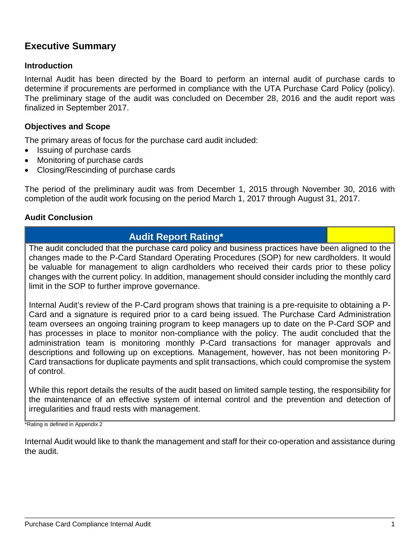### **Executive Summary**

#### **Introduction**

Internal Audit has been directed by the Board to perform an internal audit of purchase cards to determine if procurements are performed in compliance with the UTA Purchase Card Policy (policy). The preliminary stage of the audit was concluded on December 28, 2016 and the audit report was finalized in September 2017.

#### **Objectives and Scope**

The primary areas of focus for the purchase card audit included:

- Issuing of purchase cards
- Monitoring of purchase cards
- Closing/Rescinding of purchase cards

The period of the preliminary audit was from December 1, 2015 through November 30, 2016 with completion of the audit work focusing on the period March 1, 2017 through August 31, 2017.

#### **Audit Conclusion**

### **Audit Report Rating\***

The audit concluded that the purchase card policy and business practices have been aligned to the changes made to the P-Card Standard Operating Procedures (SOP) for new cardholders. It would be valuable for management to align cardholders who received their cards prior to these policy changes with the current policy. In addition, management should consider including the monthly card limit in the SOP to further improve governance.

Internal Audit's review of the P-Card program shows that training is a pre-requisite to obtaining a P-Card and a signature is required prior to a card being issued. The Purchase Card Administration team oversees an ongoing training program to keep managers up to date on the P-Card SOP and has processes in place to monitor non-compliance with the policy. The audit concluded that the administration team is monitoring monthly P-Card transactions for manager approvals and descriptions and following up on exceptions. Management, however, has not been monitoring P-Card transactions for duplicate payments and split transactions, which could compromise the system of control.

While this report details the results of the audit based on limited sample testing, the responsibility for the maintenance of an effective system of internal control and the prevention and detection of irregularities and fraud rests with management.

\*Rating is defined in Appendix 2

Internal Audit would like to thank the management and staff for their co-operation and assistance during the audit.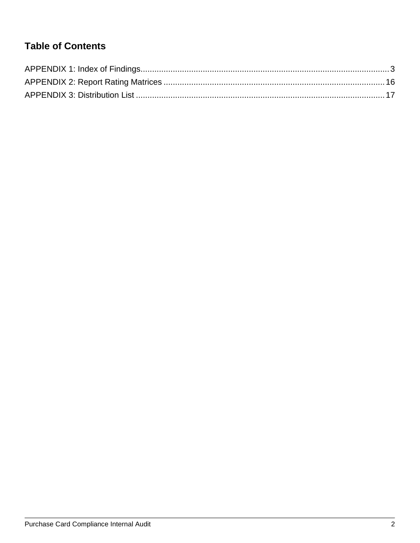## **Table of Contents**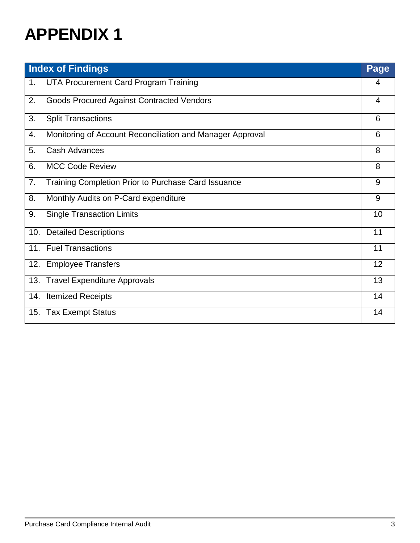|     | <b>Index of Findings</b>                                  | Page |
|-----|-----------------------------------------------------------|------|
| 1.  | UTA Procurement Card Program Training                     | 4    |
| 2.  | <b>Goods Procured Against Contracted Vendors</b>          | 4    |
| 3.  | <b>Split Transactions</b>                                 | 6    |
| 4.  | Monitoring of Account Reconciliation and Manager Approval | 6    |
| 5.  | <b>Cash Advances</b>                                      | 8    |
| 6.  | <b>MCC Code Review</b>                                    | 8    |
| 7.  | Training Completion Prior to Purchase Card Issuance       | 9    |
| 8.  | Monthly Audits on P-Card expenditure                      | 9    |
| 9.  | <b>Single Transaction Limits</b>                          | 10   |
| 10. | <b>Detailed Descriptions</b>                              | 11   |
|     | 11. Fuel Transactions                                     | 11   |
|     | 12. Employee Transfers                                    | 12   |
| 13. | <b>Travel Expenditure Approvals</b>                       | 13   |
| 14. | <b>Itemized Receipts</b>                                  | 14   |
| 15. | <b>Tax Exempt Status</b>                                  | 14   |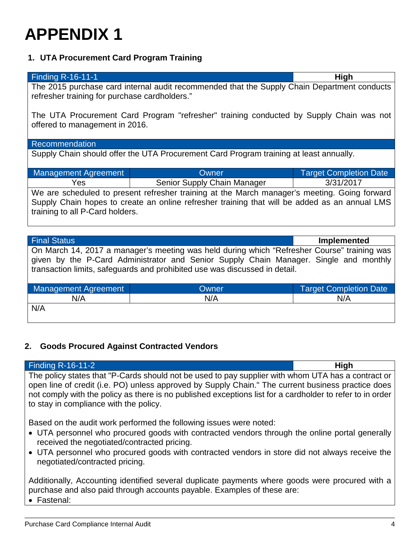### **1. UTA Procurement Card Program Training**

| Finding R-16-11-1                                                                                                                            | High |
|----------------------------------------------------------------------------------------------------------------------------------------------|------|
| The 2015 purchase card internal audit recommended that the Supply Chain Department conducts<br>refresher training for purchase cardholders." |      |
| The UTA Procurement Card Program "refresher" training conducted by Supply Chain was not<br>offered to management in 2016.                    |      |

#### Recommendation

Supply Chain should offer the UTA Procurement Card Program training at least annually.

| <b>Management Agreement</b> | Owner                                                                                         | <b>Target Completion Date</b> |
|-----------------------------|-----------------------------------------------------------------------------------------------|-------------------------------|
| Yes                         | Senior Supply Chain Manager                                                                   | 3/31/2017                     |
|                             | We are scheduled to present refresher training at the March manager's meeting. Going forward  |                               |
|                             | Supply Chain hopes to create an online refresher training that will be added as an annual LMS |                               |

training to all P-Card holders.

| <b>Final Status</b>                                                                                                                                                                                                                                                |       | <b>Implemented</b>            |
|--------------------------------------------------------------------------------------------------------------------------------------------------------------------------------------------------------------------------------------------------------------------|-------|-------------------------------|
| On March 14, 2017 a manager's meeting was held during which "Refresher Course" training was<br>given by the P-Card Administrator and Senior Supply Chain Manager. Single and monthly<br>transaction limits, safeguards and prohibited use was discussed in detail. |       |                               |
| <b>Management Agreement</b>                                                                                                                                                                                                                                        | Owner | <b>Target Completion Date</b> |
| N/A                                                                                                                                                                                                                                                                | N/A   | N/A                           |
| N/A                                                                                                                                                                                                                                                                |       |                               |

### **2. Goods Procured Against Contracted Vendors**

| <b>Finding R-16-11-2</b>                                                                                                                                                                                                                                                                                                                                        | <b>High</b> |
|-----------------------------------------------------------------------------------------------------------------------------------------------------------------------------------------------------------------------------------------------------------------------------------------------------------------------------------------------------------------|-------------|
| The policy states that "P-Cards should not be used to pay supplier with whom UTA has a contract or<br>open line of credit (i.e. PO) unless approved by Supply Chain." The current business practice does<br>not comply with the policy as there is no published exceptions list for a cardholder to refer to in order<br>to stay in compliance with the policy. |             |
| Based on the audit work performed the following issues were noted:<br>• UTA personnel who procured goods with contracted vendors through the online portal generally<br>received the negotiated/contracted pricing.<br>• UTA personnel who procured goods with contracted vendors in store did not always receive the<br>negotiated/contracted pricing.         |             |
| Additionally, Accounting identified several duplicate payments where goods were procured with a<br>purchase and also paid through accounts payable. Examples of these are:<br>• Fastenal:                                                                                                                                                                       |             |

Purchase Card Compliance Internal Audit 4 and 2008 12 and 2008 12 and 2008 12 and 2008 12 and 2008 12 and 2008 12 and 2008 12 and 2008 12 and 2008 12 and 2008 12 and 2008 12 and 2008 12 and 2009 12 and 2009 12 and 2009 12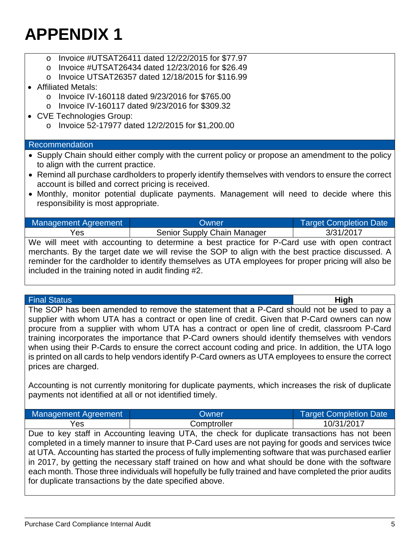- o Invoice #UTSAT26411 dated 12/22/2015 for \$77.97
- o Invoice #UTSAT26434 dated 12/23/2016 for \$26.49
- o Invoice UTSAT26357 dated 12/18/2015 for \$116.99

### • Affiliated Metals:

- o Invoice IV-160118 dated 9/23/2016 for \$765.00
- o Invoice IV-160117 dated 9/23/2016 for \$309.32
- CVE Technologies Group:
	- o Invoice 52-17977 dated 12/2/2015 for \$1,200.00

### Recommendation

- Supply Chain should either comply with the current policy or propose an amendment to the policy to align with the current practice.
- Remind all purchase cardholders to properly identify themselves with vendors to ensure the correct account is billed and correct pricing is received.
- Monthly, monitor potential duplicate payments. Management will need to decide where this responsibility is most appropriate.

| Management Agreement | Owner.                      | <b>Target Completion Date</b> |
|----------------------|-----------------------------|-------------------------------|
| res                  | Senior Supply Chain Manager | 3/31/2017                     |

We will meet with accounting to determine a best practice for P-Card use with open contract merchants. By the target date we will revise the SOP to align with the best practice discussed. A reminder for the cardholder to identify themselves as UTA employees for proper pricing will also be included in the training noted in audit finding #2.

#### Final Status **High**

The SOP has been amended to remove the statement that a P-Card should not be used to pay a supplier with whom UTA has a contract or open line of credit. Given that P-Card owners can now procure from a supplier with whom UTA has a contract or open line of credit, classroom P-Card training incorporates the importance that P-Card owners should identify themselves with vendors when using their P-Cards to ensure the correct account coding and price. In addition, the UTA logo is printed on all cards to help vendors identify P-Card owners as UTA employees to ensure the correct prices are charged.

Accounting is not currently monitoring for duplicate payments, which increases the risk of duplicate payments not identified at all or not identified timely.

| <b>Management Agreement</b> | Owner       | Target Completion Date |
|-----------------------------|-------------|------------------------|
| 'es                         | Comptroller | 10/31/2017             |

Due to key staff in Accounting leaving UTA, the check for duplicate transactions has not been completed in a timely manner to insure that P-Card uses are not paying for goods and services twice at UTA. Accounting has started the process of fully implementing software that was purchased earlier in 2017, by getting the necessary staff trained on how and what should be done with the software each month. Those three individuals will hopefully be fully trained and have completed the prior audits for duplicate transactions by the date specified above.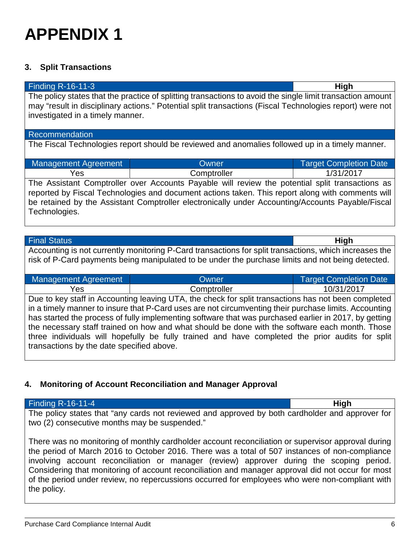### **3. Split Transactions**

| <b>Finding R-16-11-3</b>                                                                                   |                                                                                                          | <b>High</b>                   |
|------------------------------------------------------------------------------------------------------------|----------------------------------------------------------------------------------------------------------|-------------------------------|
| The policy states that the practice of splitting transactions to avoid the single limit transaction amount |                                                                                                          |                               |
|                                                                                                            | may "result in disciplinary actions." Potential split transactions (Fiscal Technologies report) were not |                               |
| investigated in a timely manner.                                                                           |                                                                                                          |                               |
|                                                                                                            |                                                                                                          |                               |
| Recommendation                                                                                             |                                                                                                          |                               |
|                                                                                                            | The Fiscal Technologies report should be reviewed and anomalies followed up in a timely manner.          |                               |
|                                                                                                            |                                                                                                          |                               |
| <b>Management Agreement</b>                                                                                | Owner                                                                                                    | <b>Target Completion Date</b> |
| Yes                                                                                                        | Comptroller                                                                                              | 1/31/2017                     |
|                                                                                                            | The Assistant Comptroller over Accounts Payable will review the potential split transactions as          |                               |
|                                                                                                            | reported by Fiscal Technologies and document actions taken. This report along with comments will         |                               |
|                                                                                                            | be retained by the Assistant Comptroller electronically under Accounting/Accounts Payable/Fiscal         |                               |
| Technologies.                                                                                              |                                                                                                          |                               |
|                                                                                                            |                                                                                                          |                               |
|                                                                                                            |                                                                                                          |                               |

| <b>Final Status</b>                                                                                    | <b>High</b> |
|--------------------------------------------------------------------------------------------------------|-------------|
| Accounting is not currently monitoring P-Card transactions for split transactions, which increases the |             |
| risk of P-Card payments being manipulated to be under the purchase limits and not being detected.      |             |

| Management Agreement                                                                                  | Owner       | <b>Target Completion Date</b> |
|-------------------------------------------------------------------------------------------------------|-------------|-------------------------------|
| Yes                                                                                                   | Comptroller | 10/31/2017                    |
| Due to key staff in Accounting leaving UTA, the check for split transactions has not been completed   |             |                               |
| in a timely manner to insure that P-Card uses are not circumventing their purchase limits. Accounting |             |                               |

has started the process of fully implementing software that was purchased earlier in 2017, by getting the necessary staff trained on how and what should be done with the software each month. Those three individuals will hopefully be fully trained and have completed the prior audits for split transactions by the date specified above.

### **4. Monitoring of Account Reconciliation and Manager Approval**

| <b>Finding R-16-11-4</b>                                                                                                                                                                                                                                                                                                                                                                                                                                                                                                  | <b>High</b> |
|---------------------------------------------------------------------------------------------------------------------------------------------------------------------------------------------------------------------------------------------------------------------------------------------------------------------------------------------------------------------------------------------------------------------------------------------------------------------------------------------------------------------------|-------------|
| The policy states that "any cards not reviewed and approved by both cardholder and approver for  <br>two (2) consecutive months may be suspended."                                                                                                                                                                                                                                                                                                                                                                        |             |
| There was no monitoring of monthly cardholder account reconciliation or supervisor approval during  <br>the period of March 2016 to October 2016. There was a total of 507 instances of non-compliance<br>involving account reconciliation or manager (review) approver during the scoping period.<br>Considering that monitoring of account reconciliation and manager approval did not occur for most<br>of the period under review, no repercussions occurred for employees who were non-compliant with<br>the policy. |             |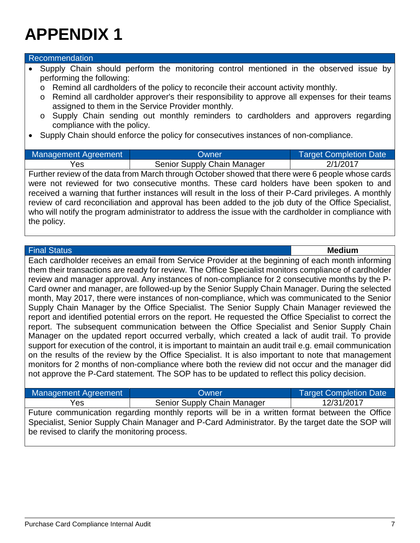#### Recommendation

- Supply Chain should perform the monitoring control mentioned in the observed issue by performing the following:
	- o Remind all cardholders of the policy to reconcile their account activity monthly.
	- o Remind all cardholder approver's their responsibility to approve all expenses for their teams assigned to them in the Service Provider monthly.
	- o Supply Chain sending out monthly reminders to cardholders and approvers regarding compliance with the policy.
- Supply Chain should enforce the policy for consecutives instances of non-compliance.

| <b>Management Agreement</b>                                                                           | Owner                                                                                                   | <b>Target Completion Date</b> |
|-------------------------------------------------------------------------------------------------------|---------------------------------------------------------------------------------------------------------|-------------------------------|
| Yes                                                                                                   | Senior Supply Chain Manager                                                                             | 2/1/2017                      |
| Further review of the data from March through October showed that there were 6 people whose cards     |                                                                                                         |                               |
|                                                                                                       | were not reviewed for two consecutive months. These card holders have been spoken to and                |                               |
|                                                                                                       | received a warning that further instances will result in the loss of their P-Card privileges. A monthly |                               |
| review of card reconciliation and approval has been added to the job duty of the Office Specialist,   |                                                                                                         |                               |
| who will notify the program administrator to address the issue with the cardholder in compliance with |                                                                                                         |                               |
| the policy.                                                                                           |                                                                                                         |                               |

#### Final Status **Medium**

Each cardholder receives an email from Service Provider at the beginning of each month informing them their transactions are ready for review. The Office Specialist monitors compliance of cardholder review and manager approval. Any instances of non-compliance for 2 consecutive months by the P-Card owner and manager, are followed-up by the Senior Supply Chain Manager. During the selected month, May 2017, there were instances of non-compliance, which was communicated to the Senior Supply Chain Manager by the Office Specialist. The Senior Supply Chain Manager reviewed the report and identified potential errors on the report. He requested the Office Specialist to correct the report. The subsequent communication between the Office Specialist and Senior Supply Chain Manager on the updated report occurred verbally, which created a lack of audit trail. To provide support for execution of the control, it is important to maintain an audit trail e.g. email communication on the results of the review by the Office Specialist. It is also important to note that management monitors for 2 months of non-compliance where both the review did not occur and the manager did not approve the P-Card statement. The SOP has to be updated to reflect this policy decision.

| Management Agreement | <b>Owner</b>                                                                                  | <b>Target Completion Date</b> |
|----------------------|-----------------------------------------------------------------------------------------------|-------------------------------|
| Yes                  | Senior Supply Chain Manager                                                                   | 12/31/2017                    |
|                      | Euture communication regarding monthly reports will be in a written format between the Office |                               |

Future communication regarding monthly reports will be in a written format between the Office Specialist, Senior Supply Chain Manager and P-Card Administrator. By the target date the SOP will be revised to clarify the monitoring process.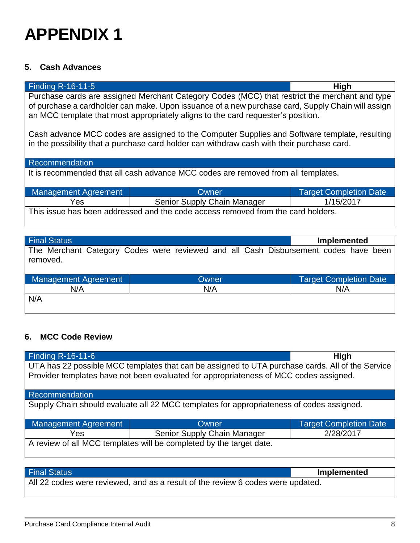### **5. Cash Advances**

| Finding R-16-11-5<br><b>High</b>                                                                                                                                                                                                                                                                                                                                                        |                             |                               |
|-----------------------------------------------------------------------------------------------------------------------------------------------------------------------------------------------------------------------------------------------------------------------------------------------------------------------------------------------------------------------------------------|-----------------------------|-------------------------------|
| Purchase cards are assigned Merchant Category Codes (MCC) that restrict the merchant and type<br>of purchase a cardholder can make. Upon issuance of a new purchase card, Supply Chain will assign<br>an MCC template that most appropriately aligns to the card requester's position.<br>Cash advance MCC codes are assigned to the Computer Supplies and Software template, resulting |                             |                               |
| in the possibility that a purchase card holder can withdraw cash with their purchase card.                                                                                                                                                                                                                                                                                              |                             |                               |
| Recommendation                                                                                                                                                                                                                                                                                                                                                                          |                             |                               |
| It is recommended that all cash advance MCC codes are removed from all templates.                                                                                                                                                                                                                                                                                                       |                             |                               |
| <b>Management Agreement</b>                                                                                                                                                                                                                                                                                                                                                             | Owner                       | <b>Target Completion Date</b> |
| Yes                                                                                                                                                                                                                                                                                                                                                                                     | Senior Supply Chain Manager | 1/15/2017                     |
| This issue has been addressed and the code access removed from the card holders.                                                                                                                                                                                                                                                                                                        |                             |                               |

| <b>Final Status</b>         |                                                                                     | <b>Implemented</b>            |
|-----------------------------|-------------------------------------------------------------------------------------|-------------------------------|
| removed.                    | The Merchant Category Codes were reviewed and all Cash Disbursement codes have been |                               |
| <b>Management Agreement</b> | Owner                                                                               | <b>Target Completion Date</b> |
| N/A                         | N/A                                                                                 | N/A                           |
| N/A                         |                                                                                     |                               |

### **6. MCC Code Review**

 $\mathsf{l}$ 

| Finding R-16-11-6                                                                                                                                                                         |                             | <b>High</b>                   |
|-------------------------------------------------------------------------------------------------------------------------------------------------------------------------------------------|-----------------------------|-------------------------------|
| UTA has 22 possible MCC templates that can be assigned to UTA purchase cards. All of the Service<br>Provider templates have not been evaluated for appropriateness of MCC codes assigned. |                             |                               |
| Recommendation                                                                                                                                                                            |                             |                               |
| Supply Chain should evaluate all 22 MCC templates for appropriateness of codes assigned.                                                                                                  |                             |                               |
| Management Agreement                                                                                                                                                                      | Owner                       | <b>Target Completion Date</b> |
| Yes                                                                                                                                                                                       | Senior Supply Chain Manager | 2/28/2017                     |
| A review of all MCC templates will be completed by the target date.                                                                                                                       |                             |                               |

| <b>Final Status</b>                                                             | <b>Implemented</b> |
|---------------------------------------------------------------------------------|--------------------|
| All 22 codes were reviewed, and as a result of the review 6 codes were updated. |                    |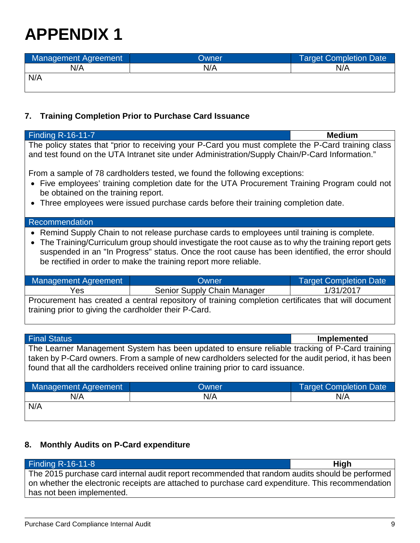| Management Agreement | Owner | <b>Target Completion Date</b> |
|----------------------|-------|-------------------------------|
| N/A                  | N/A   | N/A                           |
| N/A                  |       |                               |
|                      |       |                               |

### **7. Training Completion Prior to Purchase Card Issuance**

| <b>Finding R-16-11-7</b>                                                                                                                                                                                                                                                                                                                                                             |                             | <b>Medium</b>                 |
|--------------------------------------------------------------------------------------------------------------------------------------------------------------------------------------------------------------------------------------------------------------------------------------------------------------------------------------------------------------------------------------|-----------------------------|-------------------------------|
| The policy states that "prior to receiving your P-Card you must complete the P-Card training class<br>and test found on the UTA Intranet site under Administration/Supply Chain/P-Card Information."                                                                                                                                                                                 |                             |                               |
| From a sample of 78 cardholders tested, we found the following exceptions:<br>Five employees' training completion date for the UTA Procurement Training Program could not<br>$\bullet$<br>be obtained on the training report.<br>Three employees were issued purchase cards before their training completion date.<br>$\bullet$                                                      |                             |                               |
| Recommendation                                                                                                                                                                                                                                                                                                                                                                       |                             |                               |
| Remind Supply Chain to not release purchase cards to employees until training is complete.<br>The Training/Curriculum group should investigate the root cause as to why the training report gets<br>$\bullet$<br>suspended in an "In Progress" status. Once the root cause has been identified, the error should<br>be rectified in order to make the training report more reliable. |                             |                               |
| <b>Management Agreement</b>                                                                                                                                                                                                                                                                                                                                                          | <b>Owner</b>                | <b>Target Completion Date</b> |
| Yes                                                                                                                                                                                                                                                                                                                                                                                  | Senior Supply Chain Manager | 1/31/2017                     |
| Procurement has created a central repository of training completion certificates that will document<br>training prior to giving the cardholder their P-Card.                                                                                                                                                                                                                         |                             |                               |
|                                                                                                                                                                                                                                                                                                                                                                                      |                             |                               |
| <b>Final Status</b><br>Implemented                                                                                                                                                                                                                                                                                                                                                   |                             |                               |
| The Learner Management System has been updated to ensure reliable tracking of P-Card training<br>taken by P-Card owners. From a sample of new cardholders selected for the audit period, it has been<br>found that all the cardholders received online training prior to card issuance.                                                                                              |                             |                               |
| <b>Management Agreement</b>                                                                                                                                                                                                                                                                                                                                                          | Owner                       | <b>Target Completion Date</b> |
| N/A                                                                                                                                                                                                                                                                                                                                                                                  | N/A                         | N/A                           |
| $N/\Delta$                                                                                                                                                                                                                                                                                                                                                                           |                             |                               |

N/A

### **8. Monthly Audits on P-Card expenditure**

| <b>Finding R-16-11-8</b>                                                                          | <b>High</b> |
|---------------------------------------------------------------------------------------------------|-------------|
| The 2015 purchase card internal audit report recommended that random audits should be performed   |             |
| on whether the electronic receipts are attached to purchase card expenditure. This recommendation |             |
| has not been implemented.                                                                         |             |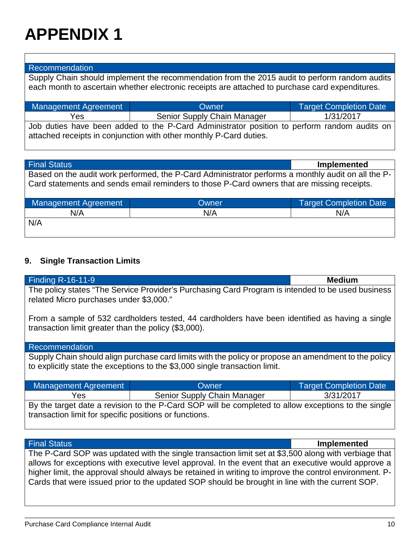#### Recommendation

Supply Chain should implement the recommendation from the 2015 audit to perform random audits each month to ascertain whether electronic receipts are attached to purchase card expenditures.

| Management Agreement                                               | Owner                                                                                       | <b>Target Completion Date</b> |
|--------------------------------------------------------------------|---------------------------------------------------------------------------------------------|-------------------------------|
| Yes                                                                | Senior Supply Chain Manager                                                                 | 1/31/2017                     |
|                                                                    | Job duties have been added to the P-Card Administrator position to perform random audits on |                               |
| attached receipts in conjunction with other monthly P-Card duties. |                                                                                             |                               |

| <b>Final Status</b>                                                                                | Implemented |
|----------------------------------------------------------------------------------------------------|-------------|
| Based on the audit work performed, the P-Card Administrator performs a monthly audit on all the P- |             |
| Card statements and sends email reminders to those P-Card owners that are missing receipts.        |             |

| <b>Management Agreement</b> | Owner | <b>Target Completion Date</b> |
|-----------------------------|-------|-------------------------------|
| N/A                         | N/A   | N/A                           |
| N/A                         |       |                               |

#### **9. Single Transaction Limits**

transaction limit greater than the policy (\$3,000).

| <b>Finding R-16-11-9</b>                                                                                                                     | <b>Medium</b> |
|----------------------------------------------------------------------------------------------------------------------------------------------|---------------|
| The policy states "The Service Provider's Purchasing Card Program is intended to be used business<br>related Micro purchases under \$3,000." |               |
| From a sample of 532 cardholders tested, 44 cardholders have been identified as having a single                                              |               |

#### Recommendation

Supply Chain should align purchase card limits with the policy or propose an amendment to the policy to explicitly state the exceptions to the \$3,000 single transaction limit.

| Management Agreement                                                                                | Owner                       | <b>Target Completion Date</b> |
|-----------------------------------------------------------------------------------------------------|-----------------------------|-------------------------------|
| Yes                                                                                                 | Senior Supply Chain Manager | 3/31/2017                     |
| By the target date a revision to the P-Card SOP will be completed to allow exceptions to the single |                             |                               |
| transaction limit for specific positions or functions.                                              |                             |                               |

| <b>Final Status</b>                                                                                    | <b>Implemented</b> |
|--------------------------------------------------------------------------------------------------------|--------------------|
| The P-Card SOP was updated with the single transaction limit set at \$3,500 along with verbiage that   |                    |
| allows for exceptions with executive level approval. In the event that an executive would approve a    |                    |
| higher limit, the approval should always be retained in writing to improve the control environment. P- |                    |
| Cards that were issued prior to the updated SOP should be brought in line with the current SOP.        |                    |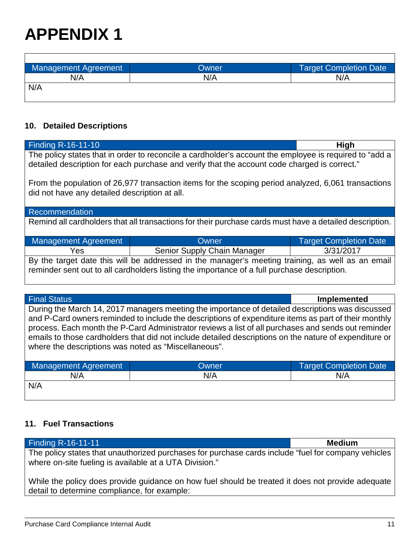$\Gamma$ 

| <b>Management Agreement</b> | Owner | <b>Target Completion Date</b> |
|-----------------------------|-------|-------------------------------|
| N/A                         | N/A   | N/A                           |
| N/A                         |       |                               |
|                             |       |                               |

### **10. Detailed Descriptions**

| Finding $\overline{R}$ -16-11-10                                                                                                                     |                                                                                              | <b>High</b>                   |
|------------------------------------------------------------------------------------------------------------------------------------------------------|----------------------------------------------------------------------------------------------|-------------------------------|
| The policy states that in order to reconcile a cardholder's account the employee is required to "add a                                               |                                                                                              |                               |
|                                                                                                                                                      | detailed description for each purchase and verify that the account code charged is correct." |                               |
| From the population of 26,977 transaction items for the scoping period analyzed, 6,061 transactions<br>did not have any detailed description at all. |                                                                                              |                               |
| Recommendation                                                                                                                                       |                                                                                              |                               |
|                                                                                                                                                      |                                                                                              |                               |
| Remind all cardholders that all transactions for their purchase cards must have a detailed description.                                              |                                                                                              |                               |
| <b>Management Agreement</b>                                                                                                                          | Owner                                                                                        | <b>Target Completion Date</b> |
| Yes                                                                                                                                                  | Senior Supply Chain Manager                                                                  | 3/31/2017                     |
| By the target date this will be addressed in the manager's meeting training, as well as an email                                                     |                                                                                              |                               |
| reminder sent out to all cardholders listing the importance of a full purchase description.                                                          |                                                                                              |                               |
|                                                                                                                                                      |                                                                                              |                               |
|                                                                                                                                                      |                                                                                              |                               |

| <b>Final Status</b>                                                                                    | Implemented |
|--------------------------------------------------------------------------------------------------------|-------------|
| During the March 14, 2017 managers meeting the importance of detailed descriptions was discussed       |             |
| and P-Card owners reminded to include the descriptions of expenditure items as part of their monthly   |             |
| process. Each month the P-Card Administrator reviews a list of all purchases and sends out reminder    |             |
| emails to those cardholders that did not include detailed descriptions on the nature of expenditure or |             |
| where the descriptions was noted as "Miscellaneous".                                                   |             |
|                                                                                                        |             |

| Management Agreement | Owner | Target Completion Date |
|----------------------|-------|------------------------|
| N/A                  | N/A   | N/A                    |
| N/A                  |       |                        |

### **11. Fuel Transactions**

| <b>Finding R-16-11-11</b>                                                                                                                                     | <b>Medium</b> |
|---------------------------------------------------------------------------------------------------------------------------------------------------------------|---------------|
| The policy states that unauthorized purchases for purchase cards include "fuel for company vehicles<br>where on-site fueling is available at a UTA Division." |               |
| While the policy does provide guidance on how fuel should be treated it does not provide adequate<br>detail to determine compliance, for example:             |               |

٦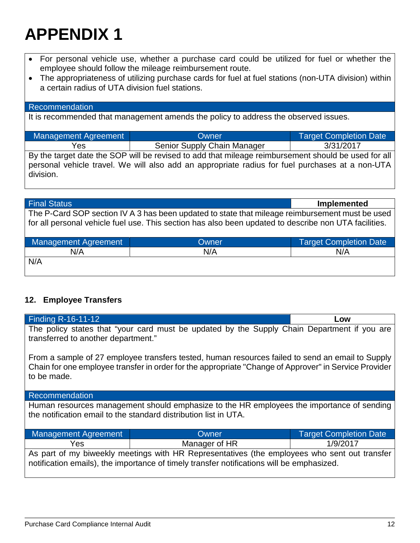- For personal vehicle use, whether a purchase card could be utilized for fuel or whether the employee should follow the mileage reimbursement route.
- The appropriateness of utilizing purchase cards for fuel at fuel stations (non-UTA division) within a certain radius of UTA division fuel stations.

#### Recommendation

division.

It is recommended that management amends the policy to address the observed issues.

| <b>Management Agreement</b>                                                                         | Owner                       | <b>Target Completion Date</b> |
|-----------------------------------------------------------------------------------------------------|-----------------------------|-------------------------------|
| Yes                                                                                                 | Senior Supply Chain Manager | 3/31/2017                     |
| By the target date the SOP will be revised to add that mileage reimbursement should be used for all |                             |                               |
| personal vehicle travel. We will also add an appropriate radius for fuel purchases at a non-UTA     |                             |                               |

Final Status **Implemented** The P-Card SOP section IV A 3 has been updated to state that mileage reimbursement must be used for all personal vehicle fuel use. This section has also been updated to describe non UTA facilities.

| Management Agreement | Owner | <b>Target Completion Date</b> |
|----------------------|-------|-------------------------------|
| N/A                  | N/A   | N/A                           |
| N/A                  |       |                               |

### **12. Employee Transfers**

| <b>Finding R-16-11-12</b>                                                                                                                                                                                                |               | Low                           |
|--------------------------------------------------------------------------------------------------------------------------------------------------------------------------------------------------------------------------|---------------|-------------------------------|
| The policy states that "your card must be updated by the Supply Chain Department if you are<br>transferred to another department."                                                                                       |               |                               |
| From a sample of 27 employee transfers tested, human resources failed to send an email to Supply<br>Chain for one employee transfer in order for the appropriate "Change of Approver" in Service Provider<br>to be made. |               |                               |
| Recommendation                                                                                                                                                                                                           |               |                               |
| Human resources management should emphasize to the HR employees the importance of sending<br>the notification email to the standard distribution list in UTA.                                                            |               |                               |
| <b>Management Agreement</b>                                                                                                                                                                                              | Owner         | <b>Target Completion Date</b> |
| Yes                                                                                                                                                                                                                      | Manager of HR | 1/9/2017                      |
| As part of my biweekly meetings with HR Representatives (the employees who sent out transfer<br>notification emails), the importance of timely transfer notifications will be emphasized.                                |               |                               |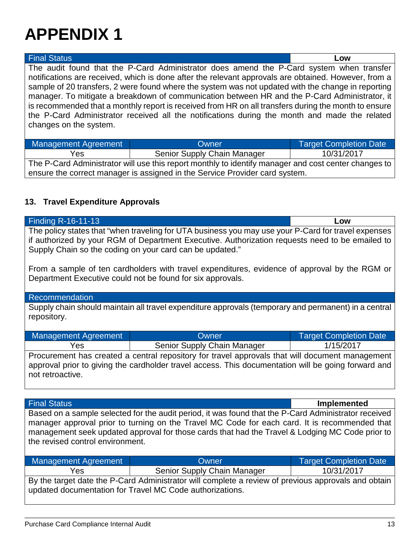| <b>Final Status</b>                                                                                                                                                                                                                                                                                                                                                                                                                                                                                                                                                                                                                        |                             | Low                           |
|--------------------------------------------------------------------------------------------------------------------------------------------------------------------------------------------------------------------------------------------------------------------------------------------------------------------------------------------------------------------------------------------------------------------------------------------------------------------------------------------------------------------------------------------------------------------------------------------------------------------------------------------|-----------------------------|-------------------------------|
| The audit found that the P-Card Administrator does amend the P-Card system when transfer<br>notifications are received, which is done after the relevant approvals are obtained. However, from a<br>sample of 20 transfers, 2 were found where the system was not updated with the change in reporting<br>manager. To mitigate a breakdown of communication between HR and the P-Card Administrator, it<br>is recommended that a monthly report is received from HR on all transfers during the month to ensure<br>the P-Card Administrator received all the notifications during the month and made the related<br>changes on the system. |                             |                               |
| <b>Management Agreement</b>                                                                                                                                                                                                                                                                                                                                                                                                                                                                                                                                                                                                                | Owner                       | <b>Target Completion Date</b> |
| Yes                                                                                                                                                                                                                                                                                                                                                                                                                                                                                                                                                                                                                                        | Senior Supply Chain Manager | 10/31/2017                    |
|                                                                                                                                                                                                                                                                                                                                                                                                                                                                                                                                                                                                                                            |                             |                               |

The P-Card Administrator will use this report monthly to identify manager and cost center changes to ensure the correct manager is assigned in the Service Provider card system.

### **13. Travel Expenditure Approvals**

| <b>Finding R-16-11-13</b><br>Low                                                                                                                                                                                                                                   |                             |                               |  |  |  |
|--------------------------------------------------------------------------------------------------------------------------------------------------------------------------------------------------------------------------------------------------------------------|-----------------------------|-------------------------------|--|--|--|
| The policy states that "when traveling for UTA business you may use your P-Card for travel expenses<br>if authorized by your RGM of Department Executive. Authorization requests need to be emailed to<br>Supply Chain so the coding on your card can be updated." |                             |                               |  |  |  |
| From a sample of ten cardholders with travel expenditures, evidence of approval by the RGM or<br>Department Executive could not be found for six approvals.                                                                                                        |                             |                               |  |  |  |
| Recommendation                                                                                                                                                                                                                                                     |                             |                               |  |  |  |
| Supply chain should maintain all travel expenditure approvals (temporary and permanent) in a central<br>repository.                                                                                                                                                |                             |                               |  |  |  |
| <b>Management Agreement</b>                                                                                                                                                                                                                                        | Owner                       | <b>Target Completion Date</b> |  |  |  |
| Yes                                                                                                                                                                                                                                                                | Senior Supply Chain Manager | 1/15/2017                     |  |  |  |
| Procurement has created a central repository for travel approvals that will document management<br>approval prior to giving the cardholder travel access. This documentation will be going forward and<br>not retroactive.                                         |                             |                               |  |  |  |

| <b>Final Status</b>                                                                                  | <b>Implemented</b> |
|------------------------------------------------------------------------------------------------------|--------------------|
| Based on a sample selected for the audit period, it was found that the P-Card Administrator received |                    |
| manager approval prior to turning on the Travel MC Code for each card. It is recommended that        |                    |
| management seek updated approval for those cards that had the Travel & Lodging MC Code prior to      |                    |
| the revised control environment.                                                                     |                    |
|                                                                                                      |                    |

| Management Agreement                                                                                | <b>Owner</b>                | <b>Target Completion Date</b> |  |
|-----------------------------------------------------------------------------------------------------|-----------------------------|-------------------------------|--|
| Yes                                                                                                 | Senior Supply Chain Manager | 10/31/2017                    |  |
| By the target date the P-Card Administrator will complete a review of previous approvals and obtain |                             |                               |  |
| updated documentation for Travel MC Code authorizations.                                            |                             |                               |  |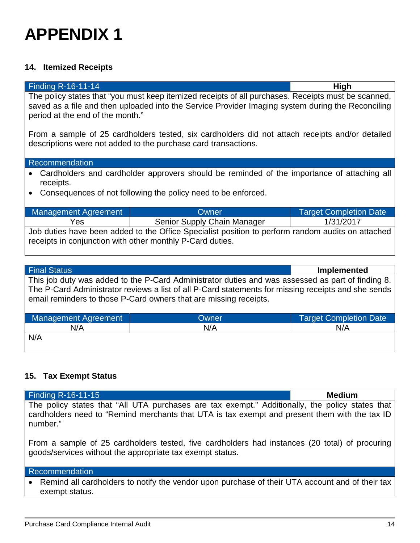#### **14. Itemized Receipts**

Finding R-16-11-14 **High**

The policy states that "you must keep itemized receipts of all purchases. Receipts must be scanned, saved as a file and then uploaded into the Service Provider Imaging system during the Reconciling period at the end of the month."

From a sample of 25 cardholders tested, six cardholders did not attach receipts and/or detailed descriptions were not added to the purchase card transactions.

#### Recommendation

- Cardholders and cardholder approvers should be reminded of the importance of attaching all receipts.
- Consequences of not following the policy need to be enforced.

| Management Agreement                                                                              | <b>Owner</b>                | <b>Target Completion Date</b> |  |
|---------------------------------------------------------------------------------------------------|-----------------------------|-------------------------------|--|
| Yes.                                                                                              | Senior Supply Chain Manager | 1/31/2017                     |  |
| Job duties have been added to the Office Specialist position to perform random audits on attached |                             |                               |  |
| receipts in conjunction with other monthly P-Card duties.                                         |                             |                               |  |

| <b>Final Status</b>                                                                                                                                                                                                                                                           |       | <b>Implemented</b>            |  |
|-------------------------------------------------------------------------------------------------------------------------------------------------------------------------------------------------------------------------------------------------------------------------------|-------|-------------------------------|--|
| This job duty was added to the P-Card Administrator duties and was assessed as part of finding 8.<br>The P-Card Administrator reviews a list of all P-Card statements for missing receipts and she sends<br>email reminders to those P-Card owners that are missing receipts. |       |                               |  |
| <b>Management Agreement</b>                                                                                                                                                                                                                                                   | Owner | <b>Target Completion Date</b> |  |
| N/A                                                                                                                                                                                                                                                                           | N/A   | N/A                           |  |
| N/A                                                                                                                                                                                                                                                                           |       |                               |  |

### **15. Tax Exempt Status**

| <b>Finding R-16-11-15</b>                                                                                                                                                                                      | <b>Medium</b> |
|----------------------------------------------------------------------------------------------------------------------------------------------------------------------------------------------------------------|---------------|
| The policy states that "All UTA purchases are tax exempt." Additionally, the policy states that<br>cardholders need to "Remind merchants that UTA is tax exempt and present them with the tax ID  <br>number." |               |

From a sample of 25 cardholders tested, five cardholders had instances (20 total) of procuring goods/services without the appropriate tax exempt status.

#### Recommendation

• Remind all cardholders to notify the vendor upon purchase of their UTA account and of their tax exempt status.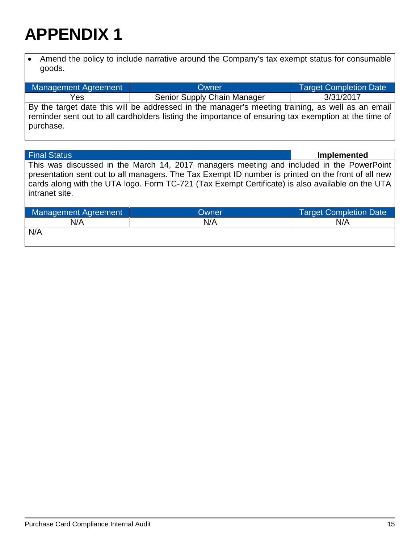• Amend the policy to include narrative around the Company's tax exempt status for consumable goods.

| Management Agreement<br>Owner                                                                        |                             | Target Completion Date |  |
|------------------------------------------------------------------------------------------------------|-----------------------------|------------------------|--|
|                                                                                                      |                             |                        |  |
| Yes                                                                                                  | Senior Supply Chain Manager | 3/31/2017              |  |
|                                                                                                      |                             |                        |  |
| By the target date this will be addressed in the manager's meeting training, as well as an email     |                             |                        |  |
| reminder sent out to all cardholders listing the importance of ensuring tax exemption at the time of |                             |                        |  |
| purchase.                                                                                            |                             |                        |  |

| <b>Final Status</b>                                                                                                                                                                                                                                                                                                  |       | <b>Implemented</b>            |  |  |
|----------------------------------------------------------------------------------------------------------------------------------------------------------------------------------------------------------------------------------------------------------------------------------------------------------------------|-------|-------------------------------|--|--|
| This was discussed in the March 14, 2017 managers meeting and included in the PowerPoint<br>presentation sent out to all managers. The Tax Exempt ID number is printed on the front of all new<br>cards along with the UTA logo. Form TC-721 (Tax Exempt Certificate) is also available on the UTA<br>intranet site. |       |                               |  |  |
| <b>Management Agreement</b>                                                                                                                                                                                                                                                                                          | Owner | <b>Target Completion Date</b> |  |  |
| N/A                                                                                                                                                                                                                                                                                                                  | N/A   | N/A                           |  |  |
| N/A                                                                                                                                                                                                                                                                                                                  |       |                               |  |  |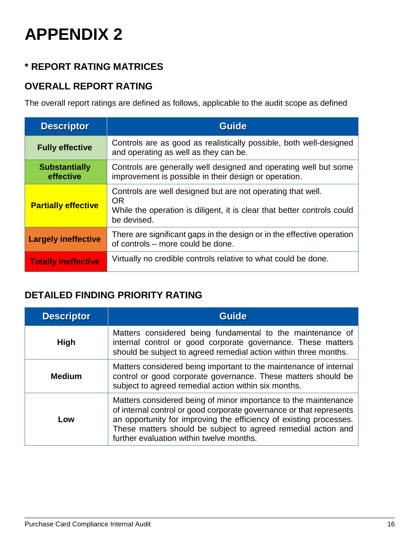## **\* REPORT RATING MATRICES**

### **OVERALL REPORT RATING**

The overall report ratings are defined as follows, applicable to the audit scope as defined

| <b>Descriptor</b>                 | <b>Guide</b>                                                                                                                                                       |
|-----------------------------------|--------------------------------------------------------------------------------------------------------------------------------------------------------------------|
| <b>Fully effective</b>            | Controls are as good as realistically possible, both well-designed<br>and operating as well as they can be.                                                        |
| <b>Substantially</b><br>effective | Controls are generally well designed and operating well but some<br>improvement is possible in their design or operation.                                          |
| <b>Partially effective</b>        | Controls are well designed but are not operating that well.<br><b>OR</b><br>While the operation is diligent, it is clear that better controls could<br>be devised. |
| <b>Largely ineffective</b>        | There are significant gaps in the design or in the effective operation<br>of controls – more could be done.                                                        |
| <b>Totally ineffective</b>        | Virtually no credible controls relative to what could be done.                                                                                                     |

### **DETAILED FINDING PRIORITY RATING**

| <b>Descriptor</b> | <b>Guide</b>                                                                                                                                                                                                                                                                                                              |
|-------------------|---------------------------------------------------------------------------------------------------------------------------------------------------------------------------------------------------------------------------------------------------------------------------------------------------------------------------|
| <b>High</b>       | Matters considered being fundamental to the maintenance of<br>internal control or good corporate governance. These matters<br>should be subject to agreed remedial action within three months.                                                                                                                            |
| <b>Medium</b>     | Matters considered being important to the maintenance of internal<br>control or good corporate governance. These matters should be<br>subject to agreed remedial action within six months.                                                                                                                                |
| Low               | Matters considered being of minor importance to the maintenance<br>of internal control or good corporate governance or that represents<br>an opportunity for improving the efficiency of existing processes.<br>These matters should be subject to agreed remedial action and<br>further evaluation within twelve months. |